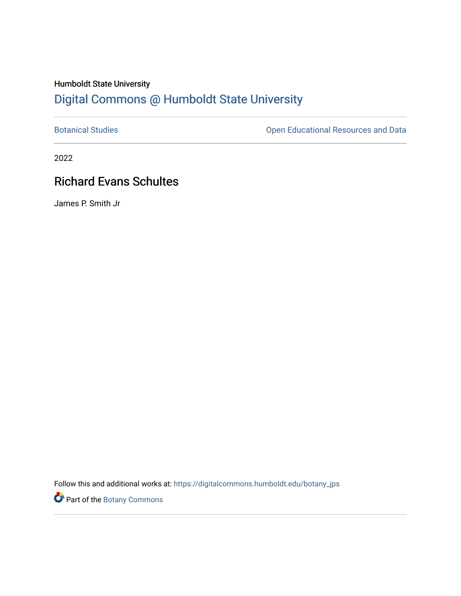# Humboldt State University [Digital Commons @ Humboldt State University](https://digitalcommons.humboldt.edu/)

[Botanical Studies](https://digitalcommons.humboldt.edu/botany_jps) **Botanical Studies Open Educational Resources and Data** 

2022

# Richard Evans Schultes

James P. Smith Jr

Follow this and additional works at: [https://digitalcommons.humboldt.edu/botany\\_jps](https://digitalcommons.humboldt.edu/botany_jps?utm_source=digitalcommons.humboldt.edu%2Fbotany_jps%2F103&utm_medium=PDF&utm_campaign=PDFCoverPages) 

Part of the [Botany Commons](http://network.bepress.com/hgg/discipline/104?utm_source=digitalcommons.humboldt.edu%2Fbotany_jps%2F103&utm_medium=PDF&utm_campaign=PDFCoverPages)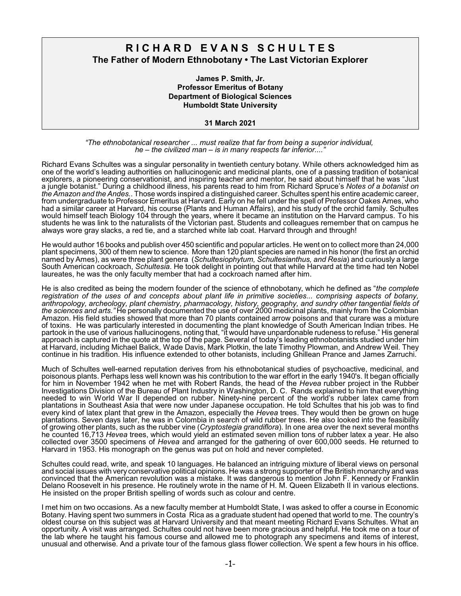### **R I C H A R D E V A N S S C H U L T E S The Father of Modern Ethnobotany • The Last Victorian Explorer**

**James P. Smith, Jr. Professor Emeritus of Botany Department of Biological Sciences Humboldt State University**

**31 March 2021**

*"The ethnobotanical researcher ... must realize that far from being a superior individual, he – the civilized man – is in many respects far inferior...."*

Richard Evans Schultes was a singular personality in twentieth century botany. While others acknowledged him as one of the world's leading authorities on hallucinogenic and medicinal plants, one of a passing tradition of botanical explorers, a pioneering conservationist, and inspiring teacher and mentor, he said about himself that he was "Just a jungle botanist." During a childhood illness, his parents read to him from Richard Spruce's *Notes of a botanist on the Amazon and the Andes.*. Those words inspired a distinguished career. Schultes spent his entire academic career, from undergraduate to Professor Emeritus at Harvard. Early on he fell under the spell of Professor Oakes Ames, who had a similar career at Harvard, his course (Plants and Human Affairs), and his study of the orchid family. Schultes would himself teach Biology 104 through the years, where it became an institution on the Harvard campus. To his students he was link to the naturalists of the Victorian past. Students and colleagues remember that on campus he always wore gray slacks, a red tie, and a starched white lab coat. Harvard through and through!

He would author 16 books and publish over 450 scientific and popular articles. He went on to collect more than 24,000 plant specimens, 300 of them new to science. More than 120 plant species are named in his honor (the first an orchid named by Ames), as were three plant genera (*Schultesiophytum, Schultesianthus, and Resia*) and curiously a large South American cockroach, *Schultesia*. He took delight in pointing out that while Harvard at the time had ten Nobel laureates, he was the only faculty member that had a cockroach named after him.

He is also credited as being the modern founder of the science of ethnobotany, which he defined as "*the complete registration of the uses of and concepts about plant life in primitive societies... comprising aspects of botany, anthropology, archeology, plant chemistry, pharmacology, history, geography, and sundry other tangential fields of the sciences and arts."* He personally documented the use of over 2000 medicinal plants, mainly from the Colombian Amazon. His field studies showed that more than 70 plants contained arrow poisons and that curare was a mixture of toxins. He was particularly interested in documenting the plant knowledge of South American Indian tribes. He partook in the use of various hallucinogens, noting that, "it would have unpardonable rudeness to refuse." His general approach is captured in the quote at the top of the page. Several of today's leading ethnobotanists studied under him at Harvard, including Michael Balick, Wade Davis, Mark Plotkin, the late Timothy Plowman, and Andrew Weil. They continue in his tradition. His influence extended to other botanists, including Ghillean Prance and James Zarruchi.

Much of Schultes well-earned reputation derives from his ethnobotanical studies of psychoactive, medicinal, and poisonous plants. Perhaps less well known was his contribution to the war effort in the early 1940's. It began officially for him in November 1942 when he met with Robert Rands, the head of the *Hevea* rubber project in the Rubber Investigations Division of the Bureau of Plant Industry in Washington, D. C. Rands explained to him that everything needed to win World War II depended on rubber. Ninety-nine percent of the world's rubber latex came from plantations in Southeast Asia that were now under Japanese occupation. He told Schultes that his job was to find every kind of latex plant that grew in the Amazon, especially the *Hevea* trees. They would then be grown on huge plantations. Seven days later, he was in Colombia in search of wild rubber trees. He also looked into the feasibility of growing other plants, such as the rubber vine (*Cryptostegia grandiflora*). In one area over the next several months he counted 16,713 *Hevea* trees, which would yield an estimated seven million tons of rubber latex a year. He also collected over 3500 specimens of *Hevea* and arranged for the gathering of over 600,000 seeds. He returned to Harvard in 1953. His monograph on the genus was put on hold and never completed.

Schultes could read, write, and speak 10 languages. He balanced an intriguing mixture of liberal views on personal and social issues with very conservative political opinions. He was a strong supporter of the British monarchy and was convinced that the American revolution was a mistake. It was dangerous to mention John F. Kennedy or Franklin Delano Roosevelt in his presence. He routinely wrote in the name of H. M. Queen Elizabeth II in various elections. He insisted on the proper British spelling of words such as colour and centre.

I met him on two occasions. As a new faculty member at Humboldt State, I was asked to offer a course in Economic Botany. Having spent two summers in Costa Rica as a graduate student had opened that world to me. The country's oldest course on this subject was at Harvard University and that meant meeting Richard Evans Schultes. What an opportunity. A visit was arranged. Schultes could not have been more gracious and helpful. He took me on a tour of the lab where he taught his famous course and allowed me to photograph any specimens and items of interest, unusual and otherwise. And a private tour of the famous glass flower collection. We spent a few hours in his office.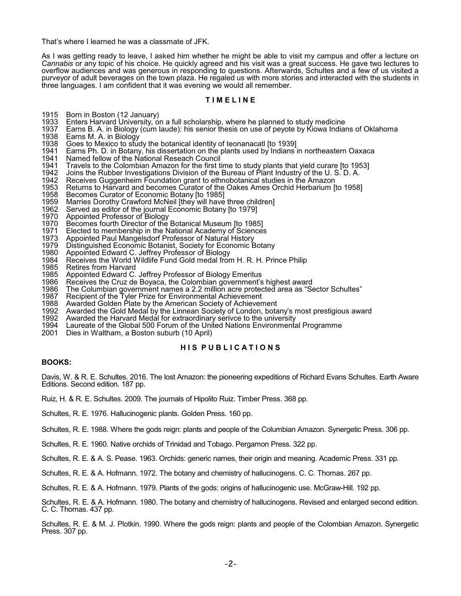That's where I learned he was a classmate of JFK.

As I was getting ready to leave, I asked him whether he might be able to visit my campus and offer a lecture on *Cannabis* or any topic of his choice. He quickly agreed and his visit was a great success. He gave two lectures to overflow audiences and was generous in responding to questions. Afterwards, Schultes and a few of us visited a purveyor of adult beverages on the town plaza. He regaled us with more stories and interacted with the students in three languages. I am confident that it was evening we would all remember.

### **T I M E L I N E**

- 1915 Born in Boston (12 January)
- 1933 Enters Harvard University, on a full scholarship, where he planned to study medicine
- 1937 Earns B. A. in Biology (cum laude): his senior thesis on use of peyote by Kiowa Indians of Oklahoma<br>1938 Earns M. A. in Biology 1938 Earns M. A. in Biology<br>1938 Goes to Mexico to stud
- 1938 Goes to Mexico to study the botanical identity of teonanacatl [to 1939]
- 1941 Earns Ph. D. in Botany, his dissertation on the plants used by Indians in northeastern Oaxaca<br>1941 Named fellow of the National Reseach Council
- 1941 Named fellow of the National Reseach Council<br>1941 Travels to the Colombian Amazon for the first t
- 1941 Travels to the Colombian Amazon for the first time to study plants that yield curare [to 1953]<br>1942 Joins the Rubber Investigations Division of the Bureau of Plant Industry of the U. S. D. A.
- 1942 Joins the Rubber Investigations Division of the Bureau of Plant Industry of the U. S. D. A.<br>1942 Receives Guggenheim Foundation grant to ethnobotanical studies in the Amazon
- 1942 Receives Guggenheim Foundation grant to ethnobotanical studies in the Amazon<br>1953 Returns to Harvard and becomes Curator of the Oakes Ames Orchid Herbarium [
- 1953 Returns to Harvard and becomes Curator of the Oakes Ames Orchid Herbarium [to 1958]<br>1958 Becomes Curator of Economic Botany [to 1985]
- 1958 Becomes Curator of Economic Botany [to 1985]
- 1959 Marries Dorothy Crawford McNeil [they will have three children]
- 1962 Served as editor of the journal Economic Botany [to 1979]<br>1970 Appointed Professor of Biology
- 1970 Appointed Professor of Biology<br>1970 Becomes fourth Director of the
- 1970 Becomes fourth Director of the Botanical Museum [to 1985]<br>1971 Elected to membership in the National Academy of Sciences
- 1971 Elected to membership in the National Academy of Sciences<br>1973 Appointed Paul Mangelsdorf Professor of Natural History
- 1973 Appointed Paul Mangelsdorf Professor of Natural History
- 1979 Distinguished Economic Botanist, Society for Economic Botany<br>1980 Appointed Edward C. Jeffrey Professor of Biology
- 1980 Appointed Edward C. Jeffrey Professor of Biology
- 1984 Receives the World Wildlife Fund Gold medal from H. R. H. Prince Philip
- 1985 Retires from Harvard<br>1985 Appointed Edward C.
- 1985 Appointed Edward C. Jeffrey Professor of Biology Emeritus<br>1986 Receives the Cruz de Boyaca, the Colombian government's
- 1986 Receives the Cruz de Boyaca, the Colombian government's highest award<br>1986 The Columbian government names a 2.2 million acre protected area as "Se
- 1986 The Columbian government names a 2.2 million acre protected area as "Sector Schultes"
- 1987 Recipient of the Tyler Prize for Environmental Achievement<br>1988 Awarded Golden Plate by the American Society of Achieven
- 1988 Awarded Golden Plate by the American Society of Achievement<br>1992 Awarded the Gold Medal by the Linnean Society of London, bota
- 1992 Awarded the Gold Medal by the Linnean Society of London, botany's most prestigious award<br>1992 Awarded the Harvard Medal for extraordinary serivce to the university
- 1992 Awarded the Harvard Medal for extraordinary serivce to the university<br>1994 Laureate of the Global 500 Forum of the United Nations Environmenta
- 1994 Laureate of the Global 500 Forum of the United Nations Environmental Programme
- Dies in Waltham, a Boston suburb (10 April)

#### **H I S P U B L I C A T I O N S**

#### **BOOKS:**

Davis, W. & R. E. Schultes. 2016. The lost Amazon: the pioneering expeditions of Richard Evans Schultes. Earth Aware Editions. Second edition. 187 pp.

Ruiz, H. & R. E. Schultes. 2009. The journals of Hipolito Ruiz. Timber Press. 368 pp.

Schultes, R. E. 1976. Hallucinogenic plants. Golden Press. 160 pp.

Schultes, R. E. 1988. Where the gods reign: plants and people of the Columbian Amazon. Synergetic Press. 306 pp.

Schultes, R. E. 1960. Native orchids of Trinidad and Tobago. Pergamon Press. 322 pp.

Schultes, R. E. & A. S. Pease. 1963. Orchids: generic names, their origin and meaning. Academic Press. 331 pp.

Schultes, R. E. & A. Hofmann. 1972. The botany and chemistry of hallucinogens. C. C. Thomas. 267 pp.

Schultes, R. E. & A. Hofmann. 1979. Plants of the gods: origins of hallucinogenic use. McGraw-Hill. 192 pp.

Schultes, R. E. & A. Hofmann. 1980. The botany and chemistry of hallucinogens. Revised and enlarged second edition. C. C. Thomas. 437 pp.

Schultes, R. E. & M. J. Plotkin. 1990. Where the gods reign: plants and people of the Colombian Amazon. Synergetic Press. 307 pp.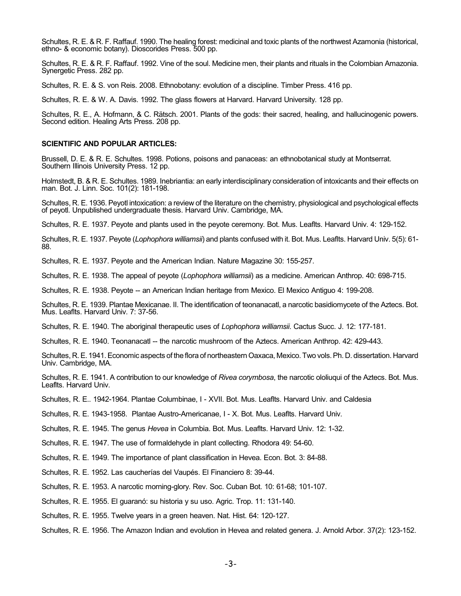Schultes, R. E. & R. F. Raffauf. 1990. The healing forest: medicinal and toxic plants of the northwest Azamonia (historical, ethno- & economic botany). Dioscorides Press. 500 pp.

Schultes, R. E. & R. F. Raffauf. 1992. Vine of the soul. Medicine men, their plants and rituals in the Colombian Amazonia. Synergetic Press. 282 pp.

Schultes, R. E. & S. von Reis. 2008. Ethnobotany: evolution of a discipline. Timber Press. 416 pp.

Schultes, R. E. & W. A. Davis. 1992. The glass flowers at Harvard. Harvard University. 128 pp.

Schultes, R. E., A. Hofmann, & C. Rätsch. 2001. Plants of the gods: their sacred, healing, and hallucinogenic powers. Second edition. Healing Arts Press. 208 pp.

#### **SCIENTIFIC AND POPULAR ARTICLES:**

Brussell, D. E. & R. E. Schultes. 1998. Potions, poisons and panaceas: an ethnobotanical study at Montserrat. Southern Illinois University Press. 12 pp.

Holmstedt, B. & R. E. Schultes. 1989. Inebriantia: an early interdisciplinary consideration of intoxicants and their effects on man. Bot. J. Linn. Soc. 101(2): 181-198.

Schultes, R. E. 1936. Peyotl intoxication: a review of the literature on the chemistry, physiological and psychological effects of peyotl. Unpublished undergraduate thesis. Harvard Univ. Cambridge, MA.

Schultes, R. E. 1937. Peyote and plants used in the peyote ceremony. Bot. Mus. Leaflts. Harvard Univ. 4: 129-152.

Schultes, R. E. 1937. Peyote (*Lophophora williamsii*) and plants confused with it. Bot. Mus. Leaflts. Harvard Univ. 5(5): 61- 88.

Schultes, R. E. 1937. Peyote and the American Indian. Nature Magazine 30: 155-257.

Schultes, R. E. 1938. The appeal of peyote (*Lophophora williamsii*) as a medicine. American Anthrop. 40: 698-715.

Schultes, R. E. 1938. Peyote -- an American Indian heritage from Mexico. El Mexico Antiguo 4: 199-208.

Schultes, R. E. 1939. Plantae Mexicanae. II. The identification of teonanacatl, a narcotic basidiomycete of the Aztecs. Bot. Mus. Leaflts. Harvard Univ. 7: 37-56.

Schultes, R. E. 1940. The aboriginal therapeutic uses of *Lophophora williamsii*. Cactus Succ. J. 12: 177-181.

Schultes, R. E. 1940. Teonanacatl -- the narcotic mushroom of the Aztecs. American Anthrop. 42: 429-443.

Schultes, R. E. 1941. Economic aspects of the flora of northeastern Oaxaca, Mexico. Two vols. Ph. D. dissertation. Harvard Univ. Cambridge, MA.

Schultes, R. E. 1941. A contribution to our knowledge of *Rivea corymbosa*, the narcotic ololiuqui of the Aztecs. Bot. Mus. Leaflts. Harvard Univ.

Schultes, R. E.. 1942-1964. Plantae Columbinae, I - XVII. Bot. Mus. Leaflts. Harvard Univ. and Caldesia

Schultes, R. E. 1943-1958. Plantae Austro-Americanae, I - X. Bot. Mus. Leaflts. Harvard Univ.

Schultes, R. E. 1945. The genus *Hevea* in Columbia. Bot. Mus. Leaflts. Harvard Univ. 12: 1-32.

Schultes, R. E. 1947. The use of formaldehyde in plant collecting. Rhodora 49: 54-60.

Schultes, R. E. 1949. The importance of plant classification in Hevea. Econ. Bot. 3: 84-88.

Schultes, R. E. 1952. Las caucherías del Vaupés. El Financiero 8: 39-44.

Schultes, R. E. 1953. A narcotic morning-glory. Rev. Soc. Cuban Bot. 10: 61-68; 101-107.

Schultes, R. E. 1955. El guaranó: su historia y su uso. Agric. Trop. 11: 131-140.

Schultes, R. E. 1955. Twelve years in a green heaven. Nat. Hist. 64: 120-127.

Schultes, R. E. 1956. The Amazon Indian and evolution in Hevea and related genera. J. Arnold Arbor. 37(2): 123-152.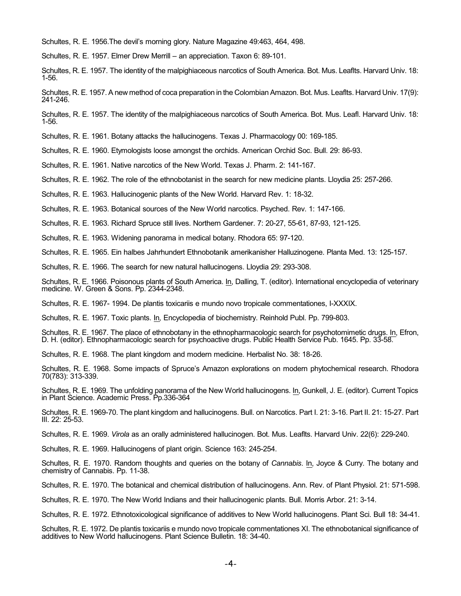Schultes, R. E. 1956.The devil's morning glory. Nature Magazine 49:463, 464, 498.

Schultes, R. E. 1957. Elmer Drew Merrill – an appreciation. Taxon 6: 89-101.

Schultes, R. E. 1957. The identity of the malpighiaceous narcotics of South America. Bot. Mus. Leaflts. Harvard Univ. 18: 1-56.

Schultes, R. E. 1957. A new method of coca preparation in the Colombian Amazon. Bot. Mus. Leaflts. Harvard Univ. 17(9): 241-246.

Schultes, R. E. 1957. The identity of the malpighiaceous narcotics of South America. Bot. Mus. Leafl. Harvard Univ. 18: 1-56.

Schultes, R. E. 1961. Botany attacks the hallucinogens. Texas J. Pharmacology 00: 169-185.

Schultes, R. E. 1960. Etymologists loose amongst the orchids. American Orchid Soc. Bull. 29: 86-93.

Schultes, R. E. 1961. Native narcotics of the New World. Texas J. Pharm. 2: 141-167.

Schultes, R. E. 1962. The role of the ethnobotanist in the search for new medicine plants. Lloydia 25: 257-266.

Schultes, R. E. 1963. Hallucinogenic plants of the New World. Harvard Rev. 1: 18-32.

Schultes, R. E. 1963. Botanical sources of the New World narcotics. Psyched. Rev. 1: 147-166.

Schultes, R. E. 1963. Richard Spruce still lives. Northern Gardener. 7: 20-27, 55-61, 87-93, 121-125.

Schultes, R. E. 1963. Widening panorama in medical botany. Rhodora 65: 97-120.

Schultes, R. E. 1965. Ein halbes Jahrhundert Ethnobotanik amerikanisher Halluzinogene. Planta Med. 13: 125-157.

Schultes, R. E. 1966. The search for new natural hallucinogens. Lloydia 29: 293-308.

Schultes, R. E. 1966. Poisonous plants of South America. In, Dalling, T. (editor). International encyclopedia of veterinary medicine. W. Green & Sons. Pp. 2344-2348.

Schultes, R. E. 1967- 1994. De plantis toxicariis e mundo novo tropicale commentationes, I-XXXIX.

Schultes, R. E. 1967. Toxic plants. In*,* Encyclopedia of biochemistry. Reinhold Publ. Pp. 799-803.

Schultes, R. E. 1967. The place of ethnobotany in the ethnopharmacologic search for psychotomimetic drugs. In, Efron, D. H. (editor). Ethnopharmacologic search for psychoactive drugs. Public Health Service Pub. 1645. Pp. 33-58.

Schultes, R. E. 1968. The plant kingdom and modern medicine. Herbalist No. 38: 18-26.

Schultes, R. E. 1968. Some impacts of Spruce's Amazon explorations on modern phytochemical research. Rhodora 70(783): 313-339.

Schultes, R. E. 1969. The unfolding panorama of the New World hallucinogens. In, Gunkell, J. E. (editor). Current Topics in Plant Science. Academic Press. Pp.336-364

Schultes, R. E. 1969-70. The plant kingdom and hallucinogens. Bull. on Narcotics. Part I. 21: 3-16. Part II. 21: 15-27. Part III. 22: 25-53.

Schultes, R. E. 1969. *Virola* as an orally administered hallucinogen. Bot. Mus. Leaflts. Harvard Univ. 22(6): 229-240.

Schultes, R. E. 1969. Hallucinogens of plant origin. Science 163: 245-254.

Schultes, R. E. 1970. Random thoughts and queries on the botany of *Cannabis*. In, Joyce & Curry. The botany and chemistry of Cannabis. Pp. 11-38.

Schultes, R. E. 1970. The botanical and chemical distribution of hallucinogens. Ann. Rev. of Plant Physiol. 21: 571-598.

Schultes, R. E. 1970. The New World Indians and their hallucinogenic plants. Bull. Morris Arbor. 21: 3-14.

Schultes, R. E. 1972. Ethnotoxicological significance of additives to New World hallucinogens. Plant Sci. Bull 18: 34-41.

Schultes, R. E. 1972. De plantis toxicariis e mundo novo tropicale commentationes XI. The ethnobotanical significance of additives to New World hallucinogens. Plant Science Bulletin. 18: 34-40.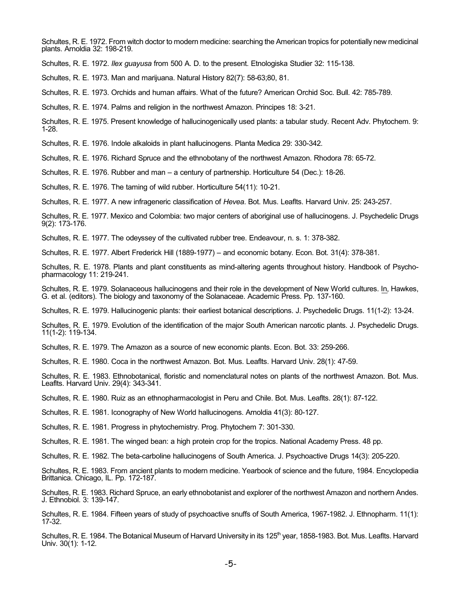Schultes, R. E. 1972. From witch doctor to modern medicine: searching the American tropics for potentially new medicinal plants. Arnoldia 32: 198-219.

Schultes, R. E. 1972. *Ilex guayusa* from 500 A. D. to the present. Etnologiska Studier 32: 115-138.

Schultes, R. E. 1973. Man and marijuana. Natural History 82(7): 58-63;80, 81.

Schultes, R. E. 1973. Orchids and human affairs. What of the future? American Orchid Soc. Bull. 42: 785-789.

Schultes, R. E. 1974. Palms and religion in the northwest Amazon. Principes 18: 3-21.

Schultes, R. E. 1975. Present knowledge of hallucinogenically used plants: a tabular study. Recent Adv. Phytochem. 9: 1-28.

Schultes, R. E. 1976. Indole alkaloids in plant hallucinogens. Planta Medica 29: 330-342.

Schultes, R. E. 1976. Richard Spruce and the ethnobotany of the northwest Amazon. Rhodora 78: 65-72.

Schultes, R. E. 1976. Rubber and man – a century of partnership. Horticulture 54 (Dec.): 18-26.

Schultes, R. E. 1976. The taming of wild rubber. Horticulture 54(11): 10-21.

Schultes, R. E. 1977. A new infrageneric classification of *Hevea*. Bot. Mus. Leaflts. Harvard Univ. 25: 243-257.

Schultes, R. E. 1977. Mexico and Colombia: two major centers of aboriginal use of hallucinogens. J. Psychedelic Drugs 9(2): 173-176.

Schultes, R. E. 1977. The odeyssey of the cultivated rubber tree. Endeavour, n. s. 1: 378-382.

Schultes, R. E. 1977. Albert Frederick Hill (1889-1977) – and economic botany. Econ. Bot. 31(4): 378-381.

Schultes, R. E. 1978. Plants and plant constituents as mind-altering agents throughout history. Handbook of Psychopharmacology 11: 219-241.

Schultes, R. E. 1979. Solanaceous hallucinogens and their role in the development of New World cultures. In, Hawkes, G. et al. (editors). The biology and taxonomy of the Solanaceae. Academic Press. Pp. 137-160.

Schultes, R. E. 1979. Hallucinogenic plants: their earliest botanical descriptions. J. Psychedelic Drugs. 11(1-2): 13-24.

Schultes, R. E. 1979. Evolution of the identification of the major South American narcotic plants. J. Psychedelic Drugs. 11(1-2): 119-134.

Schultes, R. E. 1979. The Amazon as a source of new economic plants. Econ. Bot. 33: 259-266.

Schultes, R. E. 1980. Coca in the northwest Amazon. Bot. Mus. Leaflts. Harvard Univ. 28(1): 47-59.

Schultes, R. E. 1983. Ethnobotanical, floristic and nomenclatural notes on plants of the northwest Amazon. Bot. Mus. Leaflts. Harvard Univ. 29(4): 343-341.

Schultes, R. E. 1980. Ruiz as an ethnopharmacologist in Peru and Chile. Bot. Mus. Leaflts. 28(1): 87-122.

Schultes, R. E. 1981. Iconography of New World hallucinogens. Arnoldia 41(3): 80-127.

Schultes, R. E. 1981. Progress in phytochemistry. Prog. Phytochem 7: 301-330.

Schultes, R. E. 1981. The winged bean: a high protein crop for the tropics. National Academy Press. 48 pp.

Schultes, R. E. 1982. The beta-carboline hallucinogens of South America. J. Psychoactive Drugs 14(3): 205-220.

Schultes, R. E. 1983. From ancient plants to modern medicine. Yearbook of science and the future, 1984. Encyclopedia Brittanica. Chicago, IL. Pp. 172-187.

Schultes, R. E. 1983. Richard Spruce, an early ethnobotanist and explorer of the northwest Amazon and northern Andes. J. Ethnobiol. 3: 139-147.

Schultes, R. E. 1984. Fifteen years of study of psychoactive snuffs of South America, 1967-1982. J. Ethnopharm. 11(1): 17-32.

Schultes, R. E. 1984. The Botanical Museum of Harvard University in its 125<sup>th</sup> year, 1858-1983. Bot. Mus. Leaflts. Harvard Univ. 30(1): 1-12.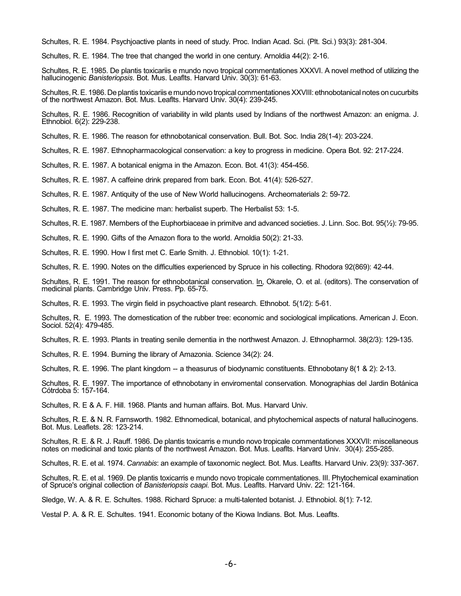Schultes, R. E. 1984. Psychjoactive plants in need of study. Proc. Indian Acad. Sci. (Plt. Sci.) 93(3): 281-304.

Schultes, R. E. 1984. The tree that changed the world in one century. Arnoldia 44(2): 2-16.

Schultes, R. E. 1985. De plantis toxicariis e mundo novo tropical commentationes XXXVI. A novel method of utilizing the hallucinogenic *Banisteriopsis*. Bot. Mus. Leaflts. Harvard Univ. 30(3): 61-63.

Schultes, R. E. 1986. De plantis toxicariis e mundo novo tropical commentationes XXVIII: ethnobotanical notes on cucurbits of the northwest Amazon. Bot. Mus. Leaflts. Harvard Univ. 30(4): 239-245.

Schultes, R. E. 1986. Recognition of variability in wild plants used by Indians of the northwest Amazon: an enigma. J. Ethnobiol. 6(2): 229-238.

Schultes, R. E. 1986. The reason for ethnobotanical conservation. Bull. Bot. Soc. India 28(1-4): 203-224.

Schultes, R. E. 1987. Ethnopharmacological conservation: a key to progress in medicine. Opera Bot. 92: 217-224.

Schultes, R. E. 1987. A botanical enigma in the Amazon. Econ. Bot. 41(3): 454-456.

Schultes, R. E. 1987. A caffeine drink prepared from bark. Econ. Bot. 41(4): 526-527.

Schultes, R. E. 1987. Antiquity of the use of New World hallucinogens. Archeomaterials 2: 59-72.

Schultes, R. E. 1987. The medicine man: herbalist superb. The Herbalist 53: 1-5.

Schultes, R. E. 1987. Members of the Euphorbiaceae in primitve and advanced societies. J. Linn. Soc. Bot. 95(½): 79-95.

Schultes, R. E. 1990. Gifts of the Amazon flora to the world. Arnoldia 50(2): 21-33.

Schultes, R. E. 1990. How I first met C. Earle Smith. J. Ethnobiol. 10(1): 1-21.

Schultes, R. E. 1990. Notes on the difficulties experienced by Spruce in his collecting. Rhodora 92(869): 42-44.

Schultes, R. E. 1991. The reason for ethnobotanical conservation. In, Okarele, O. et al. (editors). The conservation of medicinal plants. Cambridge Univ. Press. Pp. 65-75.

Schultes, R. E. 1993. The virgin field in psychoactive plant research. Ethnobot. 5(1/2): 5-61.

Schultes, R. E. 1993. The domestication of the rubber tree: economic and sociological implications. American J. Econ. Sociol. 52(4): 479-485.

Schultes, R. E. 1993. Plants in treating senile dementia in the northwest Amazon. J. Ethnopharmol. 38(2/3): 129-135.

Schultes, R. E. 1994. Burning the library of Amazonia. Science 34(2): 24.

Schultes, R. E. 1996. The plant kingdom -- a theasurus of biodynamic constituents. Ethnobotany 8(1 & 2): 2-13.

Schultes, R. E. 1997. The importance of ethnobotany in enviromental conservation. Monographias del Jardin Botánica Cótrdoba 5: 157-164.

Schultes, R. E & A. F. Hill. 1968. Plants and human affairs. Bot. Mus. Harvard Univ.

Schultes, R. E. & N. R. Farnsworth. 1982. Ethnomedical, botanical, and phytochemical aspects of natural hallucinogens. Bot. Mus. Leaflets. 28: 123-214.

Schultes, R. E. & R. J. Rauff. 1986. De plantis toxicarris e mundo novo tropicale commentationes XXXVII: miscellaneous notes on medicinal and toxic plants of the northwest Amazon. Bot. Mus. Leaflts. Harvard Univ. 30(4): 255-285.

Schultes, R. E. et al. 1974. *Cannabis*: an example of taxonomic neglect. Bot. Mus. Leaflts. Harvard Univ. 23(9): 337-367.

Schultes, R. E. et al. 1969. De plantis toxicarris e mundo novo tropicale commentationes. III. Phytochemical examination of Spruce's original collection of *Banisteriopsis caapi*. Bot. Mus. Leaflts. Harvard Univ. 22: 121-164.

Sledge, W. A. & R. E. Schultes. 1988. Richard Spruce: a multi-talented botanist. J. Ethnobiol. 8(1): 7-12.

Vestal P. A. & R. E. Schultes. 1941. Economic botany of the Kiowa Indians. Bot. Mus. Leaflts.